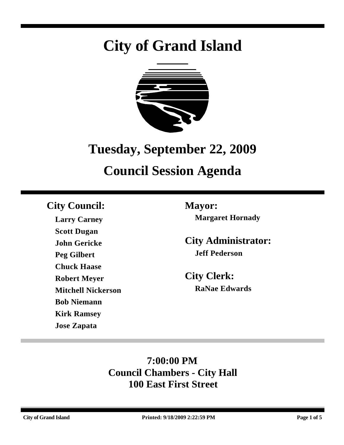# **City of Grand Island**



## **Tuesday, September 22, 2009**

## **Council Session Agenda**

## **City Council: Mayor:**

**Larry Carney Scott Dugan John Gericke Peg Gilbert Chuck Haase Robert Meyer Mitchell Nickerson Bob Niemann Kirk Ramsey Jose Zapata**

**Margaret Hornady**

**City Administrator: Jeff Pederson**

**City Clerk: RaNae Edwards**

## **7:00:00 PM Council Chambers - City Hall 100 East First Street**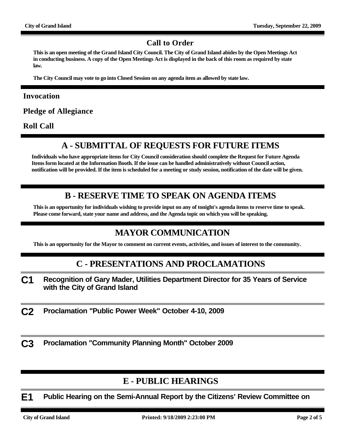#### **Call to Order**

**This is an open meeting of the Grand Island City Council. The City of Grand Island abides by the Open Meetings Act in conducting business. A copy of the Open Meetings Act is displayed in the back of this room as required by state law.**

**The City Council may vote to go into Closed Session on any agenda item as allowed by state law.**

#### **Invocation**

**Pledge of Allegiance**

**Roll Call**

#### **A - SUBMITTAL OF REQUESTS FOR FUTURE ITEMS**

**Individuals who have appropriate items for City Council consideration should complete the Request for Future Agenda Items form located at the Information Booth. If the issue can be handled administratively without Council action, notification will be provided. If the item is scheduled for a meeting or study session, notification of the date will be given.**

#### **B - RESERVE TIME TO SPEAK ON AGENDA ITEMS**

**This is an opportunity for individuals wishing to provide input on any of tonight's agenda items to reserve time to speak. Please come forward, state your name and address, and the Agenda topic on which you will be speaking.**

#### **MAYOR COMMUNICATION**

**This is an opportunity for the Mayor to comment on current events, activities, and issues of interest to the community.**

#### **C - PRESENTATIONS AND PROCLAMATIONS**

- **C1 Recognition of Gary Mader, Utilities Department Director for 35 Years of Service with the City of Grand Island**
- **C2 Proclamation "Public Power Week" October 4-10, 2009**

**C3 Proclamation "Community Planning Month" October 2009**

#### **E - PUBLIC HEARINGS**

**E1 Public Hearing on the Semi-Annual Report by the Citizens' Review Committee on**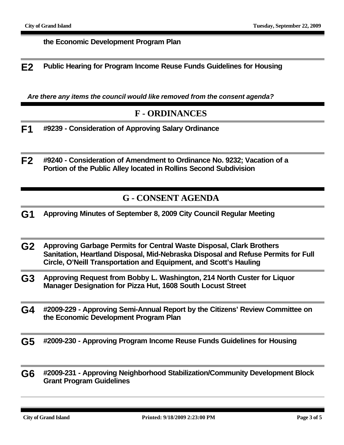#### **the Economic Development Program Plan**

**E2 Public Hearing for Program Income Reuse Funds Guidelines for Housing**

*Are there any items the council would like removed from the consent agenda?*

#### **F - ORDINANCES**

- **F1 #9239 Consideration of Approving Salary Ordinance**
- **F2 #9240 Consideration of Amendment to Ordinance No. 9232; Vacation of a Portion of the Public Alley located in Rollins Second Subdivision**

#### **G - CONSENT AGENDA**

- **G1 Approving Minutes of September 8, 2009 City Council Regular Meeting**
- **G2 Approving Garbage Permits for Central Waste Disposal, Clark Brothers Sanitation, Heartland Disposal, Mid-Nebraska Disposal and Refuse Permits for Full Circle, O'Neill Transportation and Equipment, and Scott's Hauling**
- **G3 Approving Request from Bobby L. Washington, 214 North Custer for Liquor Manager Designation for Pizza Hut, 1608 South Locust Street**
- **G4 #2009-229 Approving Semi-Annual Report by the Citizens' Review Committee on the Economic Development Program Plan**
- **G5 #2009-230 Approving Program Income Reuse Funds Guidelines for Housing**
- **G6 #2009-231 Approving Neighborhood Stabilization/Community Development Block Grant Program Guidelines**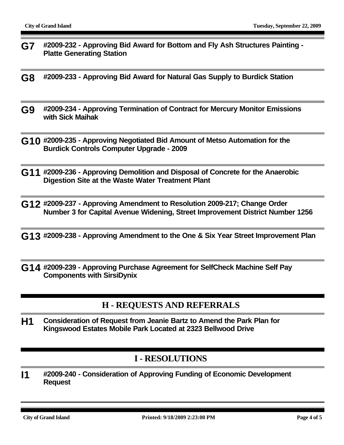- **G7 #2009-232 Approving Bid Award for Bottom and Fly Ash Structures Painting Platte Generating Station**
- **G8 #2009-233 Approving Bid Award for Natural Gas Supply to Burdick Station**
- **G9 #2009-234 Approving Termination of Contract for Mercury Monitor Emissions with Sick Maihak**
- **G10 #2009-235 Approving Negotiated Bid Amount of Metso Automation for the Burdick Controls Computer Upgrade - 2009**
- **G11 #2009-236 Approving Demolition and Disposal of Concrete for the Anaerobic Digestion Site at the Waste Water Treatment Plant**
- **G12 #2009-237 Approving Amendment to Resolution 2009-217; Change Order Number 3 for Capital Avenue Widening, Street Improvement District Number 1256**
- **G13 #2009-238 Approving Amendment to the One & Six Year Street Improvement Plan**
- **G14 #2009-239 Approving Purchase Agreement for SelfCheck Machine Self Pay Components with SirsiDynix**

#### **H - REQUESTS AND REFERRALS**

**H1 Consideration of Request from Jeanie Bartz to Amend the Park Plan for Kingswood Estates Mobile Park Located at 2323 Bellwood Drive**

#### **I - RESOLUTIONS**

**I1 #2009-240 - Consideration of Approving Funding of Economic Development Request**